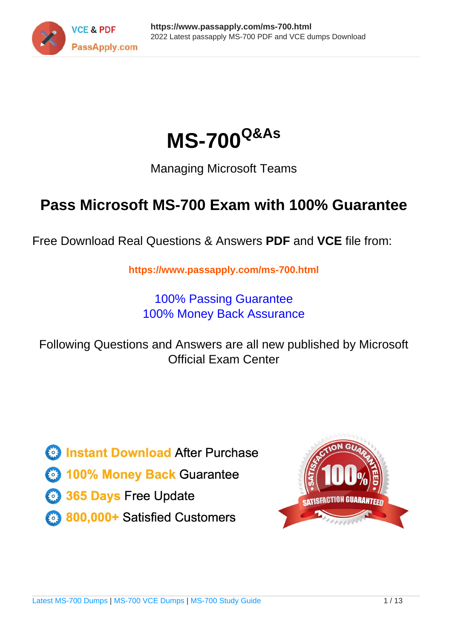



Managing Microsoft Teams

# **Pass Microsoft MS-700 Exam with 100% Guarantee**

Free Download Real Questions & Answers **PDF** and **VCE** file from:

**https://www.passapply.com/ms-700.html**

100% Passing Guarantee 100% Money Back Assurance

Following Questions and Answers are all new published by Microsoft Official Exam Center

**C** Instant Download After Purchase

**83 100% Money Back Guarantee** 

- 365 Days Free Update
- 800,000+ Satisfied Customers

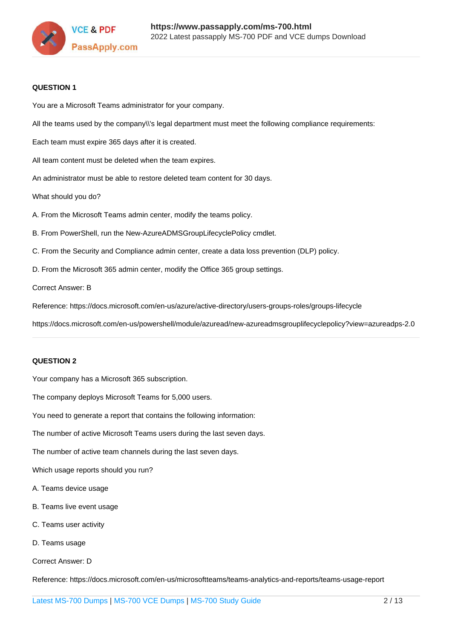

#### **QUESTION 1**

You are a Microsoft Teams administrator for your company.

All the teams used by the company\\'s legal department must meet the following compliance requirements:

Each team must expire 365 days after it is created.

All team content must be deleted when the team expires.

An administrator must be able to restore deleted team content for 30 days.

What should you do?

A. From the Microsoft Teams admin center, modify the teams policy.

B. From PowerShell, run the New-AzureADMSGroupLifecyclePolicy cmdlet.

C. From the Security and Compliance admin center, create a data loss prevention (DLP) policy.

D. From the Microsoft 365 admin center, modify the Office 365 group settings.

Correct Answer: B

Reference: https://docs.microsoft.com/en-us/azure/active-directory/users-groups-roles/groups-lifecycle

https://docs.microsoft.com/en-us/powershell/module/azuread/new-azureadmsgrouplifecyclepolicy?view=azureadps-2.0

### **QUESTION 2**

Your company has a Microsoft 365 subscription.

The company deploys Microsoft Teams for 5,000 users.

You need to generate a report that contains the following information:

The number of active Microsoft Teams users during the last seven days.

The number of active team channels during the last seven days.

Which usage reports should you run?

- A. Teams device usage
- B. Teams live event usage
- C. Teams user activity
- D. Teams usage

Correct Answer: D

Reference: https://docs.microsoft.com/en-us/microsoftteams/teams-analytics-and-reports/teams-usage-report

[Latest MS-700 Dumps](https://www.passapply.com/ms-700.html) | [MS-700 VCE Dumps](https://www.passapply.com/ms-700.html) | [MS-700 Study Guide](https://www.passapply.com/ms-700.html) 2 / 13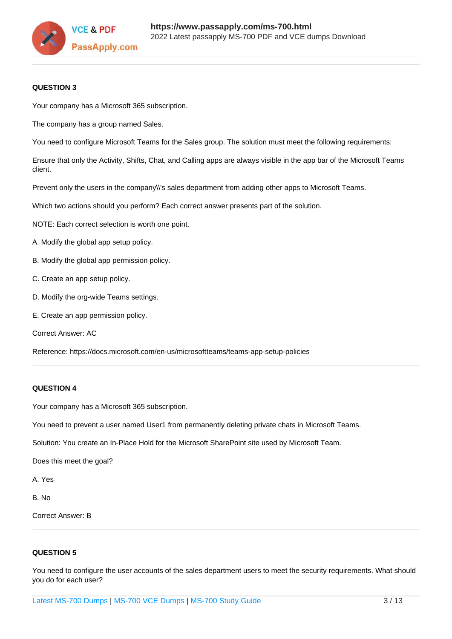

### **QUESTION 3**

Your company has a Microsoft 365 subscription.

The company has a group named Sales.

You need to configure Microsoft Teams for the Sales group. The solution must meet the following requirements:

Ensure that only the Activity, Shifts, Chat, and Calling apps are always visible in the app bar of the Microsoft Teams client.

Prevent only the users in the company\\'s sales department from adding other apps to Microsoft Teams.

Which two actions should you perform? Each correct answer presents part of the solution.

NOTE: Each correct selection is worth one point.

- A. Modify the global app setup policy.
- B. Modify the global app permission policy.
- C. Create an app setup policy.
- D. Modify the org-wide Teams settings.
- E. Create an app permission policy.

Correct Answer: AC

Reference: https://docs.microsoft.com/en-us/microsoftteams/teams-app-setup-policies

#### **QUESTION 4**

Your company has a Microsoft 365 subscription.

You need to prevent a user named User1 from permanently deleting private chats in Microsoft Teams.

Solution: You create an In-Place Hold for the Microsoft SharePoint site used by Microsoft Team.

Does this meet the goal?

A. Yes

B. No

Correct Answer: B

#### **QUESTION 5**

You need to configure the user accounts of the sales department users to meet the security requirements. What should you do for each user?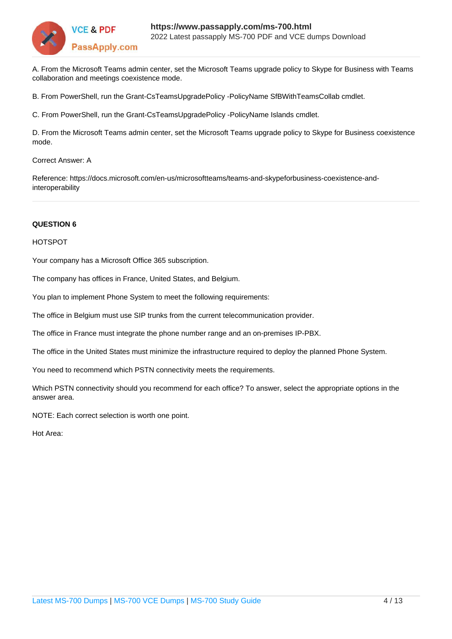

A. From the Microsoft Teams admin center, set the Microsoft Teams upgrade policy to Skype for Business with Teams collaboration and meetings coexistence mode.

B. From PowerShell, run the Grant-CsTeamsUpgradePolicy -PolicyName SfBWithTeamsCollab cmdlet.

C. From PowerShell, run the Grant-CsTeamsUpgradePolicy -PolicyName Islands cmdlet.

D. From the Microsoft Teams admin center, set the Microsoft Teams upgrade policy to Skype for Business coexistence mode.

Correct Answer: A

Reference: https://docs.microsoft.com/en-us/microsoftteams/teams-and-skypeforbusiness-coexistence-andinteroperability

#### **QUESTION 6**

#### HOTSPOT

Your company has a Microsoft Office 365 subscription.

The company has offices in France, United States, and Belgium.

You plan to implement Phone System to meet the following requirements:

The office in Belgium must use SIP trunks from the current telecommunication provider.

The office in France must integrate the phone number range and an on-premises IP-PBX.

The office in the United States must minimize the infrastructure required to deploy the planned Phone System.

You need to recommend which PSTN connectivity meets the requirements.

Which PSTN connectivity should you recommend for each office? To answer, select the appropriate options in the answer area.

NOTE: Each correct selection is worth one point.

Hot Area: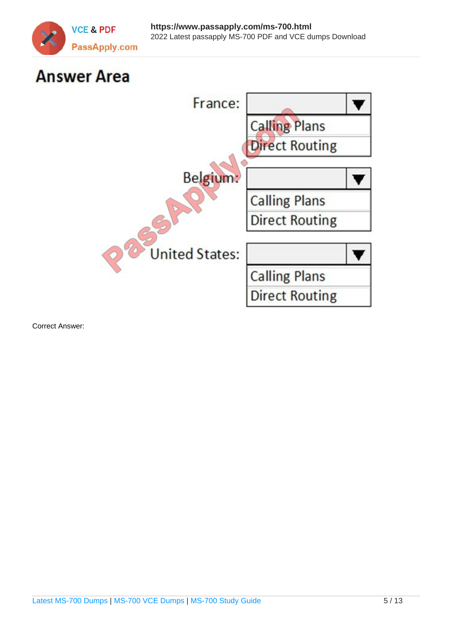

# **Answer Area**



Correct Answer: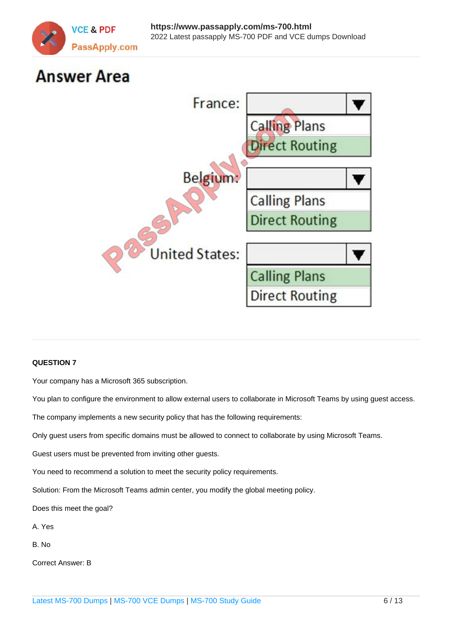

# **Answer Area**



# **QUESTION 7**

Your company has a Microsoft 365 subscription.

You plan to configure the environment to allow external users to collaborate in Microsoft Teams by using guest access.

The company implements a new security policy that has the following requirements:

Only guest users from specific domains must be allowed to connect to collaborate by using Microsoft Teams.

Guest users must be prevented from inviting other guests.

You need to recommend a solution to meet the security policy requirements.

Solution: From the Microsoft Teams admin center, you modify the global meeting policy.

Does this meet the goal?

A. Yes

B. No

Correct Answer: B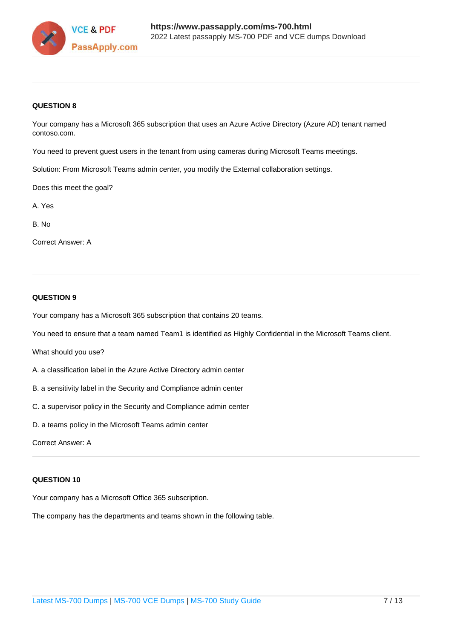

# **QUESTION 8**

Your company has a Microsoft 365 subscription that uses an Azure Active Directory (Azure AD) tenant named contoso.com.

You need to prevent guest users in the tenant from using cameras during Microsoft Teams meetings.

Solution: From Microsoft Teams admin center, you modify the External collaboration settings.

Does this meet the goal?

A. Yes

B. No

Correct Answer: A

# **QUESTION 9**

Your company has a Microsoft 365 subscription that contains 20 teams.

You need to ensure that a team named Team1 is identified as Highly Confidential in the Microsoft Teams client.

What should you use?

- A. a classification label in the Azure Active Directory admin center
- B. a sensitivity label in the Security and Compliance admin center
- C. a supervisor policy in the Security and Compliance admin center
- D. a teams policy in the Microsoft Teams admin center

Correct Answer: A

# **QUESTION 10**

Your company has a Microsoft Office 365 subscription.

The company has the departments and teams shown in the following table.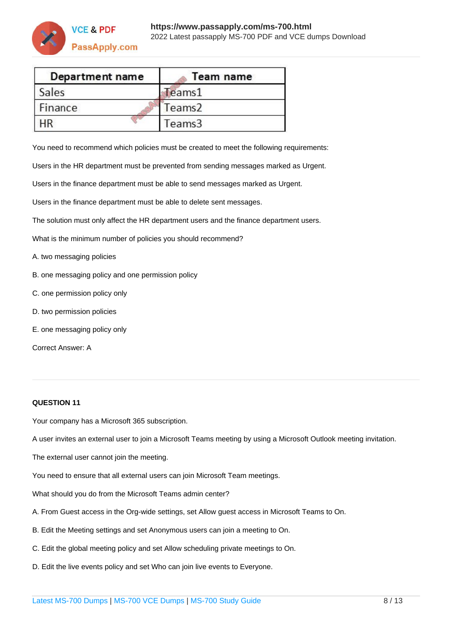

| Department name | Team name          |
|-----------------|--------------------|
| Sales           | Teams1             |
| Finance         | Teams <sub>2</sub> |
|                 | Teams3             |

You need to recommend which policies must be created to meet the following requirements:

Users in the HR department must be prevented from sending messages marked as Urgent.

Users in the finance department must be able to send messages marked as Urgent.

Users in the finance department must be able to delete sent messages.

The solution must only affect the HR department users and the finance department users.

What is the minimum number of policies you should recommend?

- A. two messaging policies
- B. one messaging policy and one permission policy
- C. one permission policy only
- D. two permission policies
- E. one messaging policy only

Correct Answer: A

# **QUESTION 11**

Your company has a Microsoft 365 subscription.

A user invites an external user to join a Microsoft Teams meeting by using a Microsoft Outlook meeting invitation.

The external user cannot join the meeting.

You need to ensure that all external users can join Microsoft Team meetings.

What should you do from the Microsoft Teams admin center?

- A. From Guest access in the Org-wide settings, set Allow guest access in Microsoft Teams to On.
- B. Edit the Meeting settings and set Anonymous users can join a meeting to On.
- C. Edit the global meeting policy and set Allow scheduling private meetings to On.
- D. Edit the live events policy and set Who can join live events to Everyone.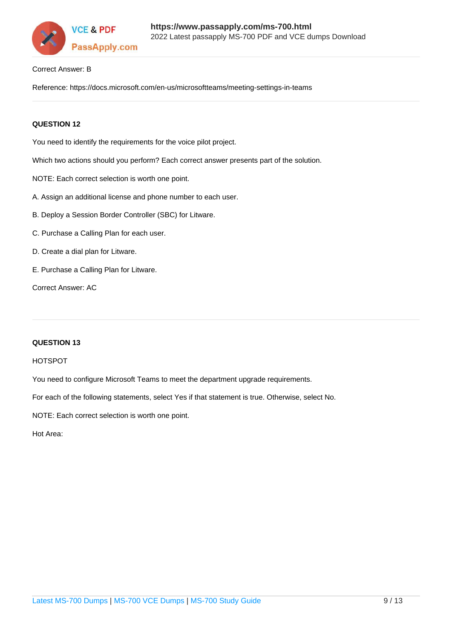

#### Correct Answer: B

Reference: https://docs.microsoft.com/en-us/microsoftteams/meeting-settings-in-teams

### **QUESTION 12**

You need to identify the requirements for the voice pilot project.

Which two actions should you perform? Each correct answer presents part of the solution.

- NOTE: Each correct selection is worth one point.
- A. Assign an additional license and phone number to each user.
- B. Deploy a Session Border Controller (SBC) for Litware.
- C. Purchase a Calling Plan for each user.
- D. Create a dial plan for Litware.
- E. Purchase a Calling Plan for Litware.

Correct Answer: AC

#### **QUESTION 13**

#### HOTSPOT

You need to configure Microsoft Teams to meet the department upgrade requirements.

For each of the following statements, select Yes if that statement is true. Otherwise, select No.

NOTE: Each correct selection is worth one point.

Hot Area: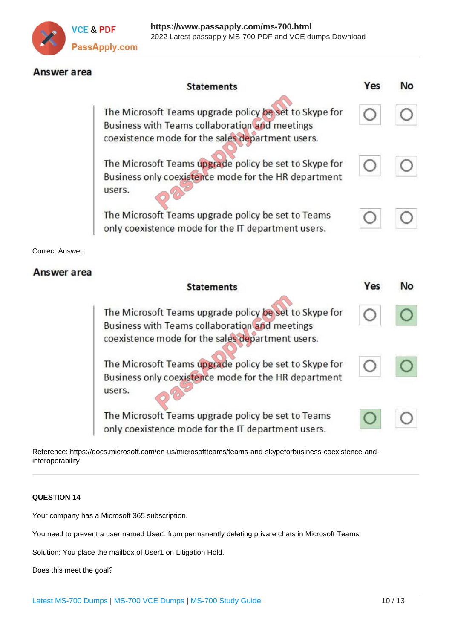

# Answer area

|                        | <b>Statements</b>                                                                                                                                            | Yes | <b>No</b> |
|------------------------|--------------------------------------------------------------------------------------------------------------------------------------------------------------|-----|-----------|
|                        | The Microsoft Teams upgrade policy be set to Skype for<br>Business with Teams collaboration and meetings<br>coexistence mode for the sales department users. |     |           |
|                        | The Microsoft Teams upgrade policy be set to Skype for<br>Business only coexistence mode for the HR department<br>users.                                     |     |           |
|                        | The Microsoft Teams upgrade policy be set to Teams<br>only coexistence mode for the IT department users.                                                     |     |           |
| <b>Correct Answer:</b> |                                                                                                                                                              |     |           |
|                        |                                                                                                                                                              |     |           |
| Answer area            |                                                                                                                                                              |     |           |
|                        | <b>Statements</b>                                                                                                                                            | Yes | <b>No</b> |
|                        | The Microsoft Teams upgrade policy be set to Skype for<br>Business with Teams collaboration and meetings<br>coexistence mode for the sales department users. |     |           |
|                        | The Microsoft Teams upgrade policy be set to Skype for<br>Business only coexistence mode for the HR department<br>users.                                     |     |           |

Reference: https://docs.microsoft.com/en-us/microsoftteams/teams-and-skypeforbusiness-coexistence-andinteroperability

# **QUESTION 14**

Your company has a Microsoft 365 subscription.

You need to prevent a user named User1 from permanently deleting private chats in Microsoft Teams.

Solution: You place the mailbox of User1 on Litigation Hold.

Does this meet the goal?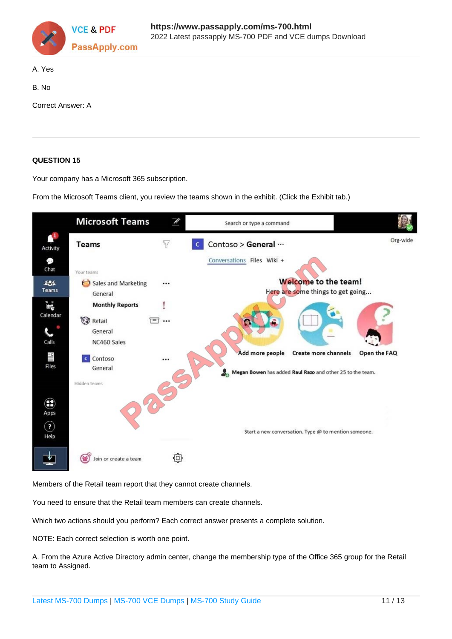

#### A. Yes

B. No

Correct Answer: A

# **QUESTION 15**

Your company has a Microsoft 365 subscription.

From the Microsoft Teams client, you review the teams shown in the exhibit. (Click the Exhibit tab.)



Members of the Retail team report that they cannot create channels.

You need to ensure that the Retail team members can create channels.

Which two actions should you perform? Each correct answer presents a complete solution.

NOTE: Each correct selection is worth one point.

A. From the Azure Active Directory admin center, change the membership type of the Office 365 group for the Retail team to Assigned.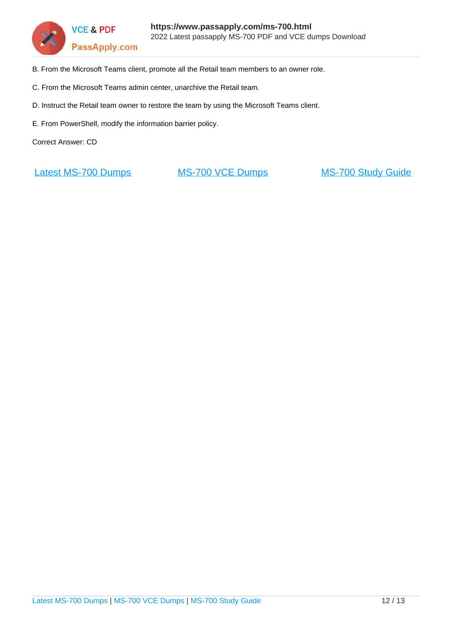

- B. From the Microsoft Teams client, promote all the Retail team members to an owner role.
- C. From the Microsoft Teams admin center, unarchive the Retail team.
- D. Instruct the Retail team owner to restore the team by using the Microsoft Teams client.
- E. From PowerShell, modify the information barrier policy.

Correct Answer: CD

[Latest MS-700 Dumps](https://www.passapply.com/ms-700.html) [MS-700 VCE Dumps](https://www.passapply.com/ms-700.html) [MS-700 Study Guide](https://www.passapply.com/ms-700.html)